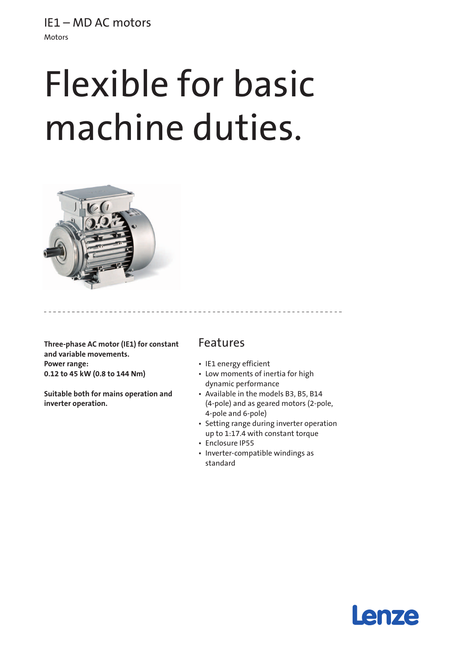IE1 – MD AC motors

Motors

# Flexible for basic machine duties.



**Three-phase AC motor (IE1) for constant and variable movements. Power range: 0.12 to 45 kW (0.8 to 144 Nm)** 

**Suitable both for mains operation and inverter operation.**

### Features

- IE1 energy efficient
- • Low moments of inertia for high dynamic performance
- Available in the models B3, B5, B14 (4-pole) and as geared motors (2-pole, 4-pole and 6-pole)
- Setting range during inverter operation up to 1:17.4 with constant torque
- Enclosure IP55
- • Inverter-compatible windings as standard